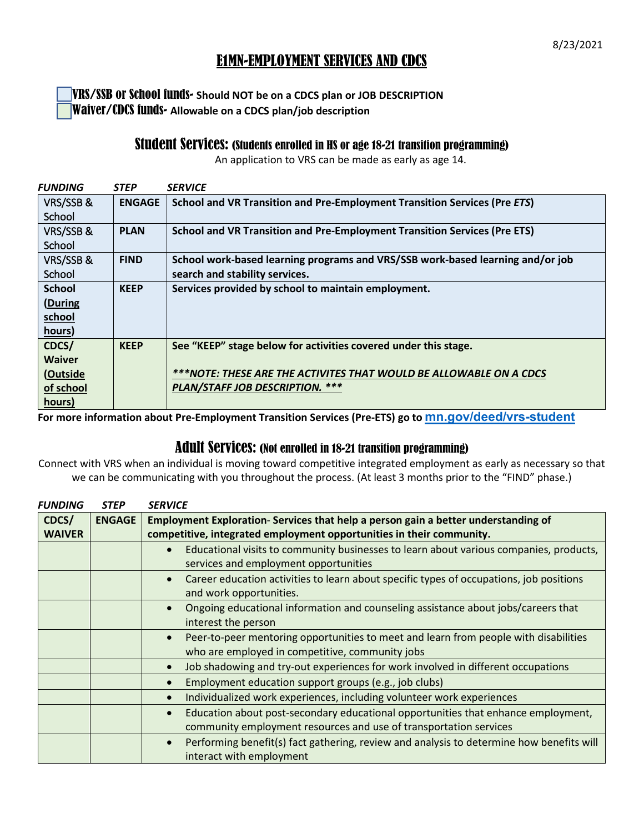## E1MN-EMPLOYMENT SERVICES AND CDCS

VRS/SSB or School funds- **Should NOT be on a CDCS plan or JOB DESCRIPTION** Waiver/CDCS funds- **Allowable on a CDCS plan/job description**

## Student Services: (Students enrolled in HS or age 18-21 transition programming)

An application to VRS can be made as early as age 14.

| <b>FUNDING</b> | <b>STEP</b>   | <b>SERVICE</b>                                                                   |
|----------------|---------------|----------------------------------------------------------------------------------|
| VRS/SSB&       | <b>ENGAGE</b> | School and VR Transition and Pre-Employment Transition Services (Pre ETS)        |
| School         |               |                                                                                  |
| VRS/SSB&       | <b>PLAN</b>   | <b>School and VR Transition and Pre-Employment Transition Services (Pre ETS)</b> |
| School         |               |                                                                                  |
| VRS/SSB&       | <b>FIND</b>   | School work-based learning programs and VRS/SSB work-based learning and/or job   |
| School         |               | search and stability services.                                                   |
| <b>School</b>  | <b>KEEP</b>   | Services provided by school to maintain employment.                              |
| (During        |               |                                                                                  |
| school         |               |                                                                                  |
| hours)         |               |                                                                                  |
| CDCS/          | <b>KEEP</b>   | See "KEEP" stage below for activities covered under this stage.                  |
| <b>Waiver</b>  |               |                                                                                  |
| (Outside       |               | ***NOTE: THESE ARE THE ACTIVITES THAT WOULD BE ALLOWABLE ON A CDCS               |
| of school      |               | PLAN/STAFF JOB DESCRIPTION. ***                                                  |
| hours)         |               |                                                                                  |

**For more information about Pre-Employment Transition Services (Pre-ETS) go to [mn.gov/deed/vrs-student](https://mn.gov/deed/job-seekers/disabilities/youth/)**

## Adult Services: (Not enrolled in 18-21 transition programming)

Connect with VRS when an individual is moving toward competitive integrated employment as early as necessary so that we can be communicating with you throughout the process. (At least 3 months prior to the "FIND" phase.)

| <b>FUNDING</b> | <b>STEP</b>   | <b>SERVICE</b>                                                                                                                                       |
|----------------|---------------|------------------------------------------------------------------------------------------------------------------------------------------------------|
| CDCS/          | <b>ENGAGE</b> | Employment Exploration-Services that help a person gain a better understanding of                                                                    |
| <b>WAIVER</b>  |               | competitive, integrated employment opportunities in their community.                                                                                 |
|                |               | Educational visits to community businesses to learn about various companies, products,<br>$\bullet$<br>services and employment opportunities         |
|                |               | Career education activities to learn about specific types of occupations, job positions<br>$\bullet$<br>and work opportunities.                      |
|                |               | Ongoing educational information and counseling assistance about jobs/careers that<br>$\bullet$<br>interest the person                                |
|                |               | Peer-to-peer mentoring opportunities to meet and learn from people with disabilities<br>$\bullet$<br>who are employed in competitive, community jobs |
|                |               | Job shadowing and try-out experiences for work involved in different occupations<br>$\bullet$                                                        |
|                |               | Employment education support groups (e.g., job clubs)<br>$\bullet$                                                                                   |
|                |               | Individualized work experiences, including volunteer work experiences<br>$\bullet$                                                                   |
|                |               | Education about post-secondary educational opportunities that enhance employment,<br>$\bullet$                                                       |
|                |               | community employment resources and use of transportation services                                                                                    |
|                |               | Performing benefit(s) fact gathering, review and analysis to determine how benefits will<br>$\bullet$<br>interact with employment                    |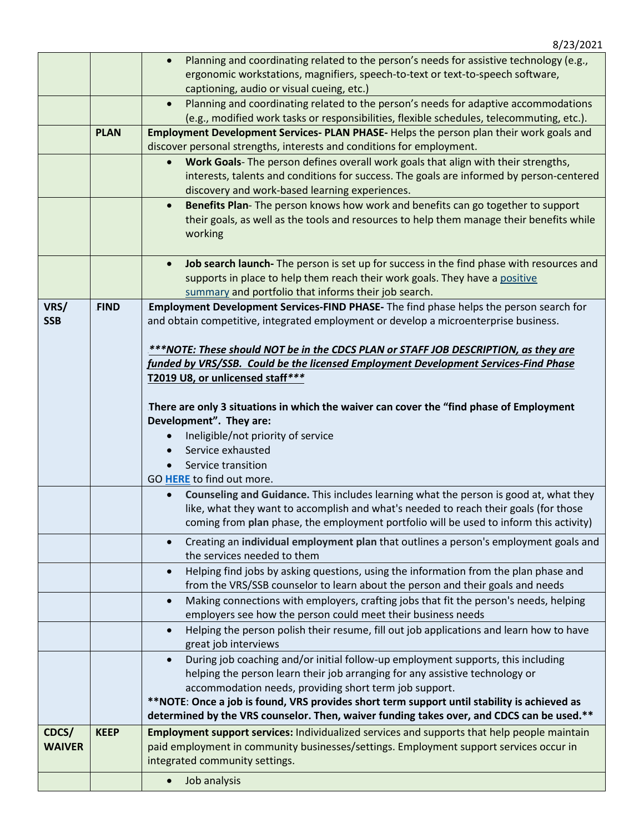|               |             | Planning and coordinating related to the person's needs for assistive technology (e.g.,<br>ergonomic workstations, magnifiers, speech-to-text or text-to-speech software,            |
|---------------|-------------|--------------------------------------------------------------------------------------------------------------------------------------------------------------------------------------|
|               |             | captioning, audio or visual cueing, etc.)                                                                                                                                            |
|               |             | Planning and coordinating related to the person's needs for adaptive accommodations<br>$\bullet$                                                                                     |
|               |             | (e.g., modified work tasks or responsibilities, flexible schedules, telecommuting, etc.).                                                                                            |
|               | <b>PLAN</b> | Employment Development Services- PLAN PHASE- Helps the person plan their work goals and                                                                                              |
|               |             | discover personal strengths, interests and conditions for employment.                                                                                                                |
|               |             | Work Goals- The person defines overall work goals that align with their strengths,<br>$\bullet$                                                                                      |
|               |             | interests, talents and conditions for success. The goals are informed by person-centered                                                                                             |
|               |             | discovery and work-based learning experiences.                                                                                                                                       |
|               |             | Benefits Plan-The person knows how work and benefits can go together to support<br>$\bullet$                                                                                         |
|               |             | their goals, as well as the tools and resources to help them manage their benefits while                                                                                             |
|               |             | working                                                                                                                                                                              |
|               |             |                                                                                                                                                                                      |
|               |             | Job search launch- The person is set up for success in the find phase with resources and<br>$\bullet$                                                                                |
|               |             | supports in place to help them reach their work goals. They have a positive<br>summary and portfolio that informs their job search.                                                  |
| VRS/          | <b>FIND</b> | Employment Development Services-FIND PHASE- The find phase helps the person search for                                                                                               |
| <b>SSB</b>    |             | and obtain competitive, integrated employment or develop a microenterprise business.                                                                                                 |
|               |             |                                                                                                                                                                                      |
|               |             | ***NOTE: These should NOT be in the CDCS PLAN or STAFF JOB DESCRIPTION, as they are                                                                                                  |
|               |             | funded by VRS/SSB. Could be the licensed Employment Development Services-Find Phase                                                                                                  |
|               |             | T2019 U8, or unlicensed staff***                                                                                                                                                     |
|               |             |                                                                                                                                                                                      |
|               |             | There are only 3 situations in which the waiver can cover the "find phase of Employment"                                                                                             |
|               |             | Development". They are:                                                                                                                                                              |
|               |             | Ineligible/not priority of service                                                                                                                                                   |
|               |             | Service exhausted                                                                                                                                                                    |
|               |             | Service transition<br>GO HERE to find out more.                                                                                                                                      |
|               |             |                                                                                                                                                                                      |
|               |             |                                                                                                                                                                                      |
|               |             | Counseling and Guidance. This includes learning what the person is good at, what they<br>$\bullet$                                                                                   |
|               |             | like, what they want to accomplish and what's needed to reach their goals (for those                                                                                                 |
|               |             | coming from plan phase, the employment portfolio will be used to inform this activity)                                                                                               |
|               |             | Creating an individual employment plan that outlines a person's employment goals and<br>$\bullet$                                                                                    |
|               |             | the services needed to them                                                                                                                                                          |
|               |             | Helping find jobs by asking questions, using the information from the plan phase and                                                                                                 |
|               |             | from the VRS/SSB counselor to learn about the person and their goals and needs<br>Making connections with employers, crafting jobs that fit the person's needs, helping<br>$\bullet$ |
|               |             | employers see how the person could meet their business needs                                                                                                                         |
|               |             | Helping the person polish their resume, fill out job applications and learn how to have<br>$\bullet$                                                                                 |
|               |             | great job interviews                                                                                                                                                                 |
|               |             | During job coaching and/or initial follow-up employment supports, this including                                                                                                     |
|               |             | helping the person learn their job arranging for any assistive technology or                                                                                                         |
|               |             | accommodation needs, providing short term job support.                                                                                                                               |
|               |             | **NOTE: Once a job is found, VRS provides short term support until stability is achieved as                                                                                          |
|               |             | determined by the VRS counselor. Then, waiver funding takes over, and CDCS can be used.**                                                                                            |
| CDCS/         | <b>KEEP</b> | Employment support services: Individualized services and supports that help people maintain                                                                                          |
| <b>WAIVER</b> |             | paid employment in community businesses/settings. Employment support services occur in                                                                                               |
|               |             | integrated community settings.<br>Job analysis                                                                                                                                       |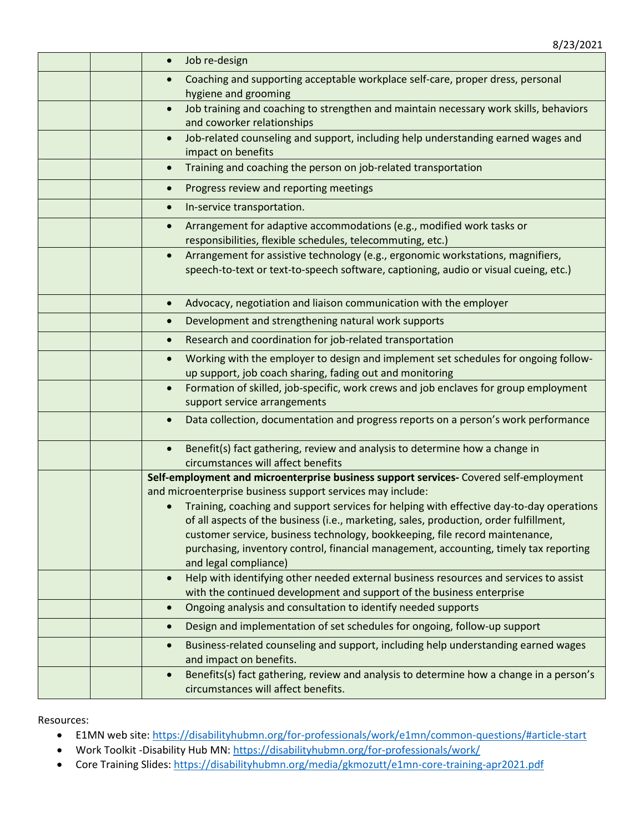|  | Job re-design                                                                                                                                                                        |
|--|--------------------------------------------------------------------------------------------------------------------------------------------------------------------------------------|
|  | Coaching and supporting acceptable workplace self-care, proper dress, personal<br>hygiene and grooming                                                                               |
|  | Job training and coaching to strengthen and maintain necessary work skills, behaviors<br>$\bullet$<br>and coworker relationships                                                     |
|  | Job-related counseling and support, including help understanding earned wages and<br>$\bullet$<br>impact on benefits                                                                 |
|  | Training and coaching the person on job-related transportation<br>$\bullet$                                                                                                          |
|  | Progress review and reporting meetings<br>$\bullet$                                                                                                                                  |
|  | In-service transportation.<br>$\bullet$                                                                                                                                              |
|  | Arrangement for adaptive accommodations (e.g., modified work tasks or<br>responsibilities, flexible schedules, telecommuting, etc.)                                                  |
|  | Arrangement for assistive technology (e.g., ergonomic workstations, magnifiers,<br>$\bullet$<br>speech-to-text or text-to-speech software, captioning, audio or visual cueing, etc.) |
|  | Advocacy, negotiation and liaison communication with the employer<br>$\bullet$                                                                                                       |
|  | Development and strengthening natural work supports<br>$\bullet$                                                                                                                     |
|  | Research and coordination for job-related transportation<br>$\bullet$                                                                                                                |
|  | Working with the employer to design and implement set schedules for ongoing follow-<br>$\bullet$<br>up support, job coach sharing, fading out and monitoring                         |
|  | Formation of skilled, job-specific, work crews and job enclaves for group employment<br>$\bullet$<br>support service arrangements                                                    |
|  | Data collection, documentation and progress reports on a person's work performance<br>$\bullet$                                                                                      |
|  | Benefit(s) fact gathering, review and analysis to determine how a change in<br>$\bullet$<br>circumstances will affect benefits                                                       |
|  | Self-employment and microenterprise business support services- Covered self-employment                                                                                               |
|  | and microenterprise business support services may include:<br>Training, coaching and support services for helping with effective day-to-day operations                               |
|  | of all aspects of the business (i.e., marketing, sales, production, order fulfillment,                                                                                               |
|  | customer service, business technology, bookkeeping, file record maintenance,                                                                                                         |
|  | purchasing, inventory control, financial management, accounting, timely tax reporting<br>and legal compliance)                                                                       |
|  | Help with identifying other needed external business resources and services to assist<br>$\bullet$<br>with the continued development and support of the business enterprise          |
|  | Ongoing analysis and consultation to identify needed supports<br>$\bullet$                                                                                                           |
|  | Design and implementation of set schedules for ongoing, follow-up support<br>$\bullet$                                                                                               |
|  | Business-related counseling and support, including help understanding earned wages<br>$\bullet$<br>and impact on benefits.                                                           |
|  | Benefits(s) fact gathering, review and analysis to determine how a change in a person's<br>$\bullet$<br>circumstances will affect benefits.                                          |

Resources:

- E1MN web site: [https://disabilityhubmn.org/for-professionals/work/e1mn/common-questions/#article-start](https://disabilityhubmn.org/for-professionals/work/e1mn/common-questions/)
- Work Toolkit -Disability Hub MN[: https://disabilityhubmn.org/for-professionals/work/](https://disabilityhubmn.org/for-professionals/work/)
- Core Training Slides:<https://disabilityhubmn.org/media/gkmozutt/e1mn-core-training-apr2021.pdf>